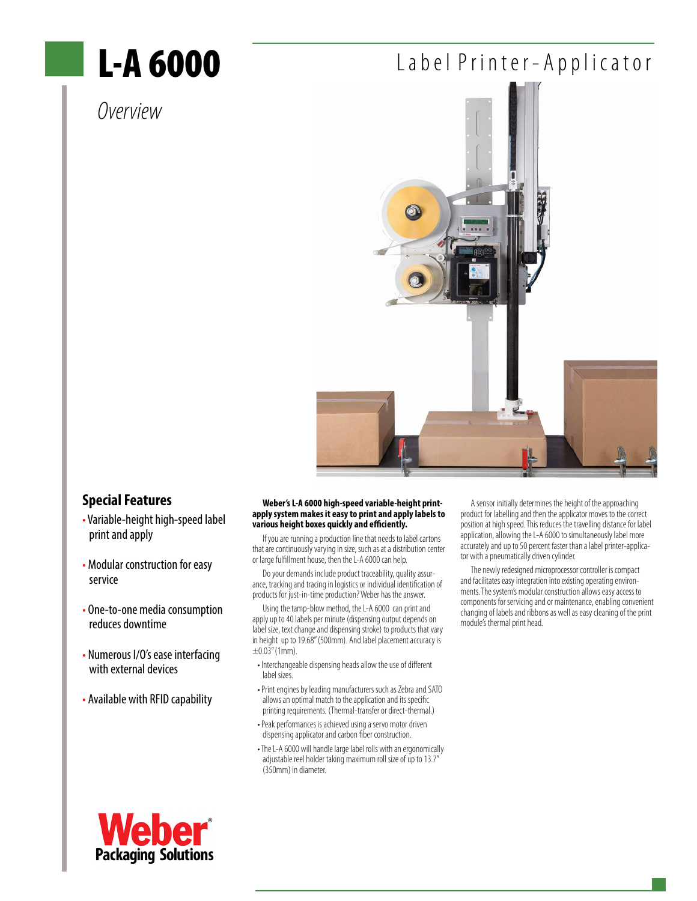# L-A 6000

### *Overview*

### Label Printer-Applicator



### **Special Features**

- Variable-height high-speed label print and apply
- Modular construction for easy service
- One-to-one media consumption reduces downtime
- Numerous I/O's ease interfacing with external devices
- Available with RFID capability

### **Weber's L-A 6000 high-speed variable-height printapply system makes it easy to print and apply labels to various height boxes quickly and efficiently.**

If you are running a production line that needs to label cartons that are continuously varying in size, such as at a distribution center or large fulfillment house, then the L-A 6000 can help.

Do your demands include product traceability, quality assurance, tracking and tracing in logistics or individual identification of products for just-in-time production? Weber has the answer.

Using the tamp-blow method, the L-A 6000 can print and apply up to 40 labels per minute (dispensing output depends on label size, text change and dispensing stroke) to products that vary in height up to 19.68" (500mm). And label placement accuracy is  $\pm 0.03$ " (1mm).

- Interchangeable dispensing heads allow the use of different label sizes.
- Print engines by leading manufacturers such as Zebra and SATO allows an optimal match to the application and its specific printing requirements. (Thermal-transfer or direct-thermal.)
- Peak performances is achieved using a servo motor driven dispensing applicator and carbon fiber construction.
- The L-A 6000 will handle large label rolls with an ergonomically adjustable reel holder taking maximum roll size of up to 13.7" (350mm) in diameter.

A sensor initially determines the height of the approaching product for labelling and then the applicator moves to the correct position at high speed. This reduces the travelling distance for label application, allowing the L-A 6000 to simultaneously label more accurately and up to 50 percent faster than a label printer-applicator with a pneumatically driven cylinder.

The newly redesigned microprocessor controller is compact and facilitates easy integration into existing operating environments. The system's modular construction allows easy access to components for servicing and or maintenance, enabling convenient changing of labels and ribbons as well as easy cleaning of the print module's thermal print head.